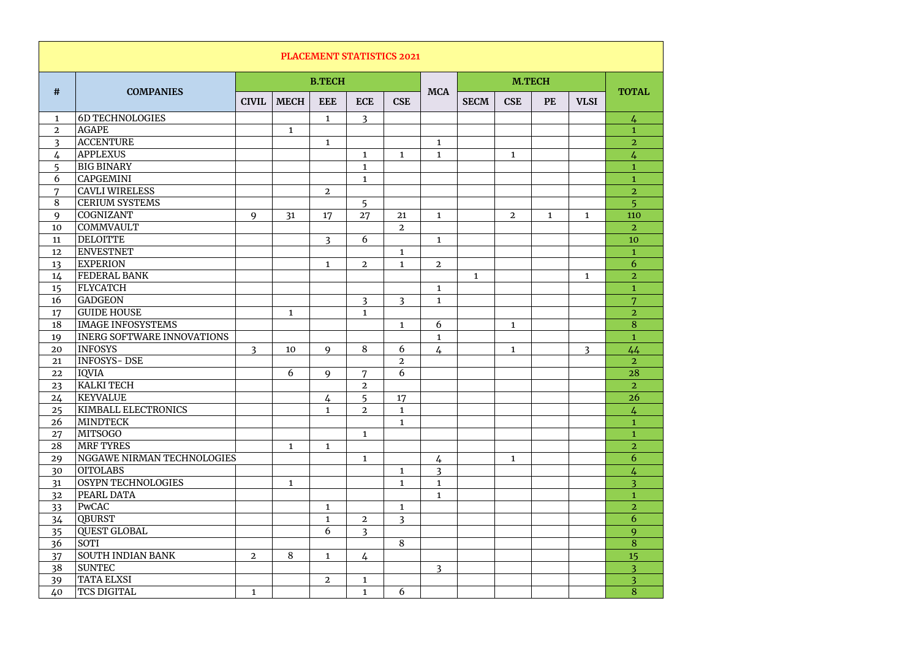| <b>PLACEMENT STATISTICS 2021</b> |                                   |                |              |                |                |                |                |              |                |              |                |                |
|----------------------------------|-----------------------------------|----------------|--------------|----------------|----------------|----------------|----------------|--------------|----------------|--------------|----------------|----------------|
| #                                | <b>COMPANIES</b>                  |                |              | <b>B.TECH</b>  |                |                | <b>MCA</b>     |              |                |              |                |                |
|                                  |                                   | <b>CIVIL</b>   | <b>MECH</b>  | <b>EEE</b>     | <b>ECE</b>     | <b>CSE</b>     |                | <b>SECM</b>  | <b>CSE</b>     | <b>PE</b>    | <b>VLSI</b>    | <b>TOTAL</b>   |
| $\mathbf{1}$                     | <b>6D TECHNOLOGIES</b>            |                |              | $\mathbf{1}$   | $\overline{3}$ |                |                |              |                |              |                | $\frac{1}{4}$  |
| $\overline{2}$                   | <b>AGAPE</b>                      |                | $\mathbf{1}$ |                |                |                |                |              |                |              |                | $\mathbf{1}$   |
| $\overline{3}$                   | <b>ACCENTURE</b>                  |                |              | $\mathbf{1}$   |                |                | $\mathbf{1}$   |              |                |              |                | $\overline{2}$ |
| 4                                | <b>APPLEXUS</b>                   |                |              |                | $\mathbf{1}$   | $\mathbf{1}$   | $\mathbf{1}$   |              | $\mathbf{1}$   |              |                | 4              |
| 5                                | <b>BIG BINARY</b>                 |                |              |                | $\mathbf{1}$   |                |                |              |                |              |                | $\mathbf{1}$   |
| 6                                | <b>CAPGEMINI</b>                  |                |              |                | $\mathbf{1}$   |                |                |              |                |              |                | $\mathbf{1}$   |
| $\overline{7}$                   | <b>CAVLI WIRELESS</b>             |                |              | $\overline{2}$ |                |                |                |              |                |              |                | $\overline{2}$ |
| 8                                | <b>CERIUM SYSTEMS</b>             |                |              |                | 5              |                |                |              |                |              |                | 5              |
| 9                                | COGNIZANT                         | 9              | 31           | 17             | 27             | 21             | $\mathbf{1}$   |              | $\overline{2}$ | $\mathbf{1}$ | $\mathbf{1}$   | 110            |
| 10                               | <b>COMMVAULT</b>                  |                |              |                |                | $\overline{2}$ |                |              |                |              |                | $\overline{2}$ |
| 11                               | <b>DELOITTE</b>                   |                |              | $\overline{3}$ | 6              |                | $\mathbf{1}$   |              |                |              |                | 10             |
| 12                               | <b>ENVESTNET</b>                  |                |              |                |                | $\mathbf{1}$   |                |              |                |              |                | $\mathbf{1}$   |
| 13                               | <b>EXPERION</b>                   |                |              | $\mathbf{1}$   | $\overline{2}$ | $\mathbf{1}$   | $\overline{2}$ |              |                |              |                | 6              |
| 14                               | <b>FEDERAL BANK</b>               |                |              |                |                |                |                | $\mathbf{1}$ |                |              | $\mathbf{1}$   | $\overline{2}$ |
| 15                               | FLYCATCH                          |                |              |                |                |                | $\mathbf{1}$   |              |                |              |                | $\mathbf{1}$   |
| 16                               | <b>GADGEON</b>                    |                |              |                | $\overline{3}$ | $\overline{3}$ | $\mathbf{1}$   |              |                |              |                | 7              |
| 17                               | <b>GUIDE HOUSE</b>                |                | $\mathbf{1}$ |                | $\mathbf{1}$   |                |                |              |                |              |                | $\overline{2}$ |
| 18                               | <b>IMAGE INFOSYSTEMS</b>          |                |              |                |                | $\mathbf{1}$   | 6              |              | $\mathbf{1}$   |              |                | 8              |
| 19                               | <b>INERG SOFTWARE INNOVATIONS</b> |                |              |                |                |                | $\mathbf{1}$   |              |                |              |                | $\mathbf{1}$   |
| 20                               | <b>INFOSYS</b>                    | $\overline{3}$ | 10           | 9              | 8              | 6              | 4              |              | $\mathbf{1}$   |              | $\overline{3}$ | 44             |
| 21                               | <b>INFOSYS-DSE</b>                |                |              |                |                | $\overline{2}$ |                |              |                |              |                | $\overline{2}$ |
| 22                               | <b>IQVIA</b>                      |                | 6            | 9              | 7              | 6              |                |              |                |              |                | 28             |
| 23                               | KALKI TECH                        |                |              |                | $\overline{2}$ |                |                |              |                |              |                | $\overline{2}$ |
| 24                               | <b>KEYVALUE</b>                   |                |              | $\frac{1}{4}$  | 5              | 17             |                |              |                |              |                | 26             |
| 25                               | <b>KIMBALL ELECTRONICS</b>        |                |              | $\mathbf{1}$   | $\overline{2}$ | $\mathbf{1}$   |                |              |                |              |                | 4              |
| 26                               | <b>MINDTECK</b>                   |                |              |                |                | $\mathbf{1}$   |                |              |                |              |                | $\mathbf{1}$   |
| 27                               | MITSOGO                           |                |              |                | $\mathbf{1}$   |                |                |              |                |              |                | $\mathbf{1}$   |
| 28                               | <b>MRF TYRES</b>                  |                | $\mathbf{1}$ | $\mathbf{1}$   |                |                |                |              |                |              |                | $\overline{2}$ |
| 29                               | NGGAWE NIRMAN TECHNOLOGIES        |                |              |                | $\mathbf{1}$   |                | $\frac{1}{4}$  |              | $\mathbf{1}$   |              |                | 6              |
| 30                               | OITOLABS                          |                |              |                |                | $\mathbf{1}$   | $\overline{3}$ |              |                |              |                | 4              |
| 31                               | <b>OSYPN TECHNOLOGIES</b>         |                | $\mathbf{1}$ |                |                | $\mathbf{1}$   | $\mathbf{1}$   |              |                |              |                | $\overline{3}$ |
| 32                               | PEARL DATA                        |                |              |                |                |                | $\mathbf{1}$   |              |                |              |                | $\mathbf 1$    |
| 33                               | PwCAC                             |                |              | $\mathbf{1}$   |                | $\mathbf{1}$   |                |              |                |              |                | $\overline{2}$ |
| 34                               | <b>QBURST</b>                     |                |              | $\mathbf{1}$   | $\overline{2}$ | $\overline{3}$ |                |              |                |              |                | 6              |
| 35                               | <b>QUEST GLOBAL</b>               |                |              | 6              | $\overline{3}$ |                |                |              |                |              |                | 9              |
| 36                               | SOTI                              |                |              |                |                | 8              |                |              |                |              |                | 8              |
| 37                               | <b>SOUTH INDIAN BANK</b>          | $\overline{2}$ | 8            | $\mathbf{1}$   | $\frac{1}{4}$  |                |                |              |                |              |                | 15             |
| 38                               | SUNTEC                            |                |              |                |                |                | $\overline{3}$ |              |                |              |                | $\overline{3}$ |
| 39                               | TATA ELXSI                        |                |              | $\overline{2}$ | $\mathbf{1}$   |                |                |              |                |              |                | $\overline{3}$ |
| 40                               | <b>TCS DIGITAL</b>                | $\mathbf{1}$   |              |                | $\mathbf{1}$   | 6              |                |              |                |              |                | 8              |